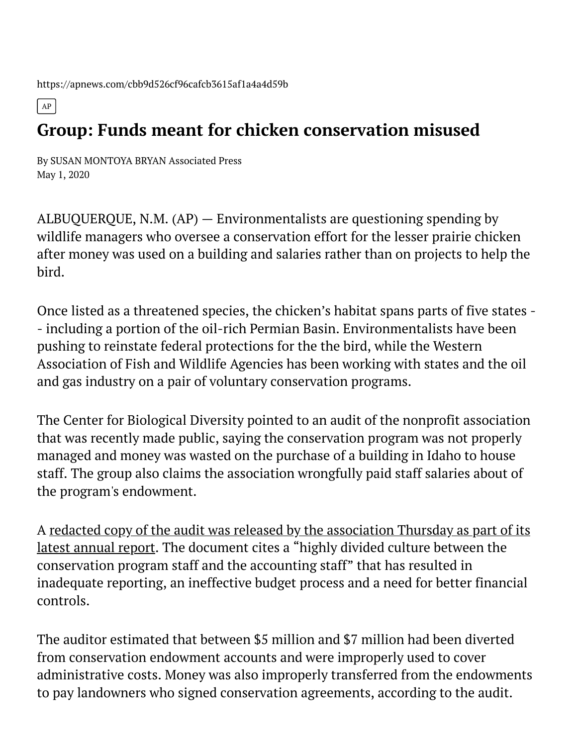## **Group: Funds meant for chicken conservation misused**

By SUSAN MONTOYA BRYAN Associated Press May 1, 2020

AP

ALBUQUERQUE, N.M. (AP) — Environmentalists are questioning spending by wildlife managers who oversee a conservation effort for the lesser prairie chicken after money was used on a building and salaries rather than on projects to help the bird.

Once listed as a threatened species, the chicken's habitat spans parts of five states - - including a portion of the oil-rich Permian Basin. Environmentalists have been pushing to reinstate federal protections for the the bird, while the Western Association of Fish and Wildlife Agencies has been working with states and the oil and gas industry on a pair of voluntary conservation programs.

The Center for Biological Diversity pointed to an audit of the nonprofit association that was recently made public, saying the conservation program was not properly managed and money was wasted on the purchase of a building in Idaho to house staff. The group also claims the association wrongfully paid staff salaries about of the program's endowment.

A redacted copy of the audit was released by the [association](https://www.wafwa.org/Documents%20and%20Settings/37/Site%20Documents/Initiatives/Lesser%20Prairie%20Chicken/Annual%20Reports/2019%20LPC%20CCAA%20Annual%20Report.pdf) Thursday as part of its latest annual report. The document cites a "highly divided culture between the conservation program staff and the accounting staff" that has resulted in inadequate reporting, an ineffective budget process and a need for better financial controls.

The auditor estimated that between \$5 million and \$7 million had been diverted from conservation endowment accounts and were improperly used to cover administrative costs. Money was also improperly transferred from the endowments to pay landowners who signed conservation agreements, according to the audit.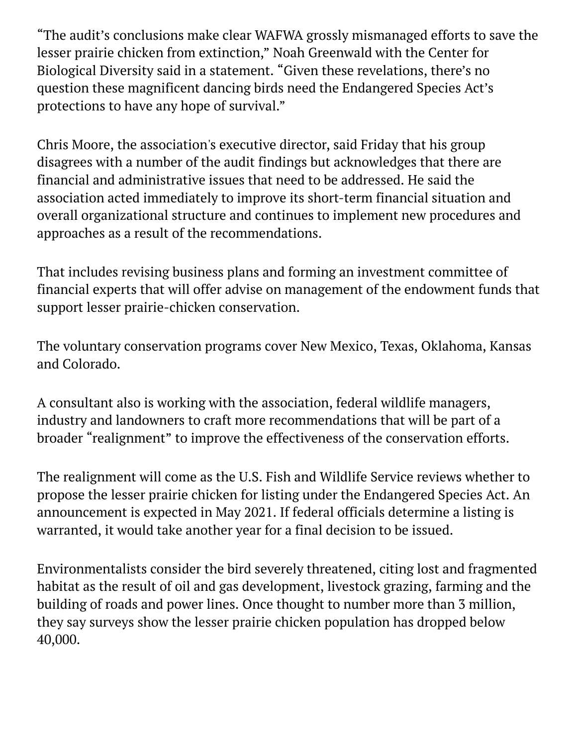"The audit's conclusions make clear WAFWA grossly mismanaged efforts to save the lesser prairie chicken from extinction," Noah Greenwald with the Center for Biological Diversity said in a statement. "Given these revelations, there's no question these magnificent dancing birds need the Endangered Species Act's protections to have any hope of survival."

Chris Moore, the association's executive director, said Friday that his group disagrees with a number of the audit findings but acknowledges that there are financial and administrative issues that need to be addressed. He said the association acted immediately to improve its short-term financial situation and overall organizational structure and continues to implement new procedures and approaches as a result of the recommendations.

That includes revising business plans and forming an investment committee of financial experts that will offer advise on management of the endowment funds that support lesser prairie-chicken conservation.

The voluntary conservation programs cover New Mexico, Texas, Oklahoma, Kansas and Colorado.

A consultant also is working with the association, federal wildlife managers, industry and landowners to craft more recommendations that will be part of a broader "realignment" to improve the effectiveness of the conservation efforts.

The realignment will come as the U.S. Fish and Wildlife Service reviews whether to propose the lesser prairie chicken for listing under the Endangered Species Act. An announcement is expected in May 2021. If federal officials determine a listing is warranted, it would take another year for a final decision to be issued.

Environmentalists consider the bird severely threatened, citing lost and fragmented habitat as the result of oil and gas development, livestock grazing, farming and the building of roads and power lines. Once thought to number more than 3 million, they say surveys show the lesser prairie chicken population has dropped below 40,000.